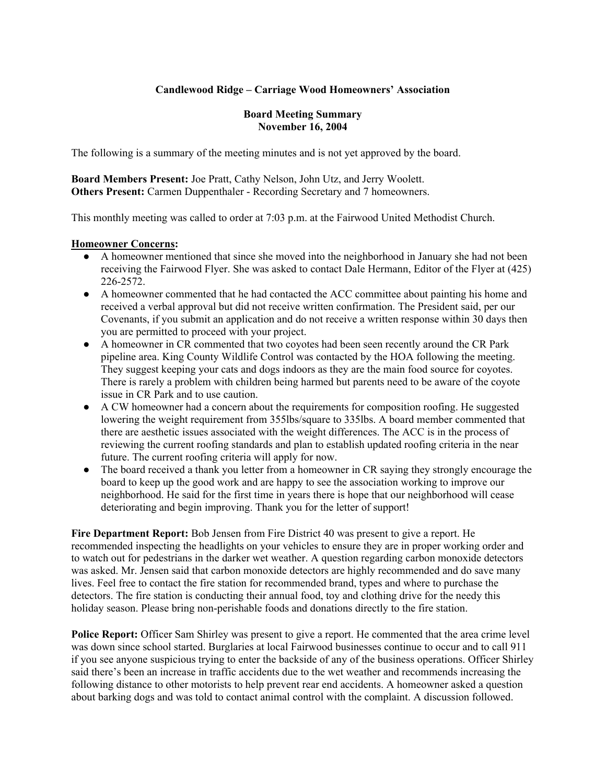# **Candlewood Ridge – Carriage Wood Homeowners' Association**

## **Board Meeting Summary November 16, 2004**

The following is a summary of the meeting minutes and is not yet approved by the board.

**Board Members Present:** Joe Pratt, Cathy Nelson, John Utz, and Jerry Woolett. **Others Present:** Carmen Duppenthaler - Recording Secretary and 7 homeowners.

This monthly meeting was called to order at 7:03 p.m. at the Fairwood United Methodist Church.

## **Homeowner Concerns:**

- A homeowner mentioned that since she moved into the neighborhood in January she had not been receiving the Fairwood Flyer. She was asked to contact Dale Hermann, Editor of the Flyer at (425) 226-2572.
- A homeowner commented that he had contacted the ACC committee about painting his home and received a verbal approval but did not receive written confirmation. The President said, per our Covenants, if you submit an application and do not receive a written response within 30 days then you are permitted to proceed with your project.
- A homeowner in CR commented that two coyotes had been seen recently around the CR Park pipeline area. King County Wildlife Control was contacted by the HOA following the meeting. They suggest keeping your cats and dogs indoors as they are the main food source for coyotes. There is rarely a problem with children being harmed but parents need to be aware of the coyote issue in CR Park and to use caution.
- A CW homeowner had a concern about the requirements for composition roofing. He suggested lowering the weight requirement from 355lbs/square to 335lbs. A board member commented that there are aesthetic issues associated with the weight differences. The ACC is in the process of reviewing the current roofing standards and plan to establish updated roofing criteria in the near future. The current roofing criteria will apply for now.
- The board received a thank you letter from a homeowner in CR saying they strongly encourage the board to keep up the good work and are happy to see the association working to improve our neighborhood. He said for the first time in years there is hope that our neighborhood will cease deteriorating and begin improving. Thank you for the letter of support!

**Fire Department Report:** Bob Jensen from Fire District 40 was present to give a report. He recommended inspecting the headlights on your vehicles to ensure they are in proper working order and to watch out for pedestrians in the darker wet weather. A question regarding carbon monoxide detectors was asked. Mr. Jensen said that carbon monoxide detectors are highly recommended and do save many lives. Feel free to contact the fire station for recommended brand, types and where to purchase the detectors. The fire station is conducting their annual food, toy and clothing drive for the needy this holiday season. Please bring non-perishable foods and donations directly to the fire station.

**Police Report:** Officer Sam Shirley was present to give a report. He commented that the area crime level was down since school started. Burglaries at local Fairwood businesses continue to occur and to call 911 if you see anyone suspicious trying to enter the backside of any of the business operations. Officer Shirley said there's been an increase in traffic accidents due to the wet weather and recommends increasing the following distance to other motorists to help prevent rear end accidents. A homeowner asked a question about barking dogs and was told to contact animal control with the complaint. A discussion followed.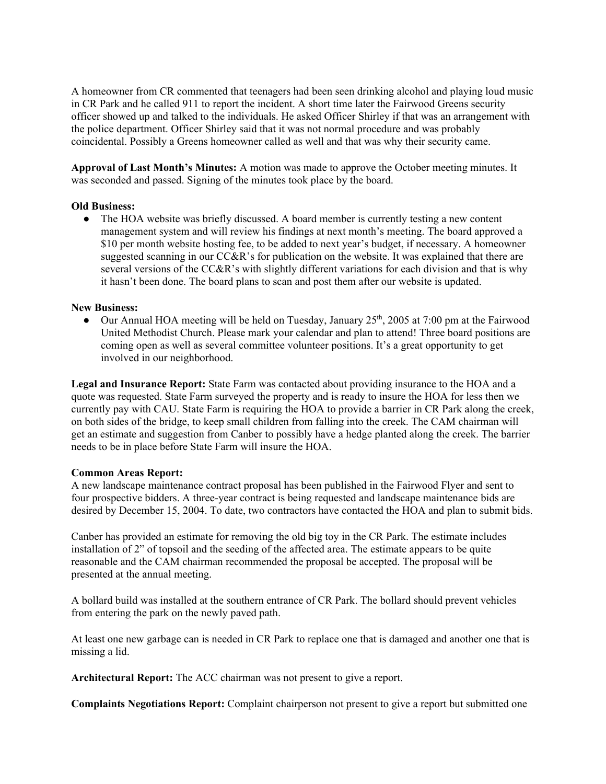A homeowner from CR commented that teenagers had been seen drinking alcohol and playing loud music in CR Park and he called 911 to report the incident. A short time later the Fairwood Greens security officer showed up and talked to the individuals. He asked Officer Shirley if that was an arrangement with the police department. Officer Shirley said that it was not normal procedure and was probably coincidental. Possibly a Greens homeowner called as well and that was why their security came.

**Approval of Last Month's Minutes:** A motion was made to approve the October meeting minutes. It was seconded and passed. Signing of the minutes took place by the board.

#### **Old Business:**

• The HOA website was briefly discussed. A board member is currently testing a new content management system and will review his findings at next month's meeting. The board approved a \$10 per month website hosting fee, to be added to next year's budget, if necessary. A homeowner suggested scanning in our CC&R's for publication on the website. It was explained that there are several versions of the CC&R's with slightly different variations for each division and that is why it hasn't been done. The board plans to scan and post them after our website is updated.

#### **New Business:**

• Our Annual HOA meeting will be held on Tuesday, January  $25<sup>th</sup>$ , 2005 at 7:00 pm at the Fairwood United Methodist Church. Please mark your calendar and plan to attend! Three board positions are coming open as well as several committee volunteer positions. It's a great opportunity to get involved in our neighborhood.

**Legal and Insurance Report:** State Farm was contacted about providing insurance to the HOA and a quote was requested. State Farm surveyed the property and is ready to insure the HOA for less then we currently pay with CAU. State Farm is requiring the HOA to provide a barrier in CR Park along the creek, on both sides of the bridge, to keep small children from falling into the creek. The CAM chairman will get an estimate and suggestion from Canber to possibly have a hedge planted along the creek. The barrier needs to be in place before State Farm will insure the HOA.

#### **Common Areas Report:**

A new landscape maintenance contract proposal has been published in the Fairwood Flyer and sent to four prospective bidders. A three-year contract is being requested and landscape maintenance bids are desired by December 15, 2004. To date, two contractors have contacted the HOA and plan to submit bids.

Canber has provided an estimate for removing the old big toy in the CR Park. The estimate includes installation of 2" of topsoil and the seeding of the affected area. The estimate appears to be quite reasonable and the CAM chairman recommended the proposal be accepted. The proposal will be presented at the annual meeting.

A bollard build was installed at the southern entrance of CR Park. The bollard should prevent vehicles from entering the park on the newly paved path.

At least one new garbage can is needed in CR Park to replace one that is damaged and another one that is missing a lid.

**Architectural Report:** The ACC chairman was not present to give a report.

**Complaints Negotiations Report:** Complaint chairperson not present to give a report but submitted one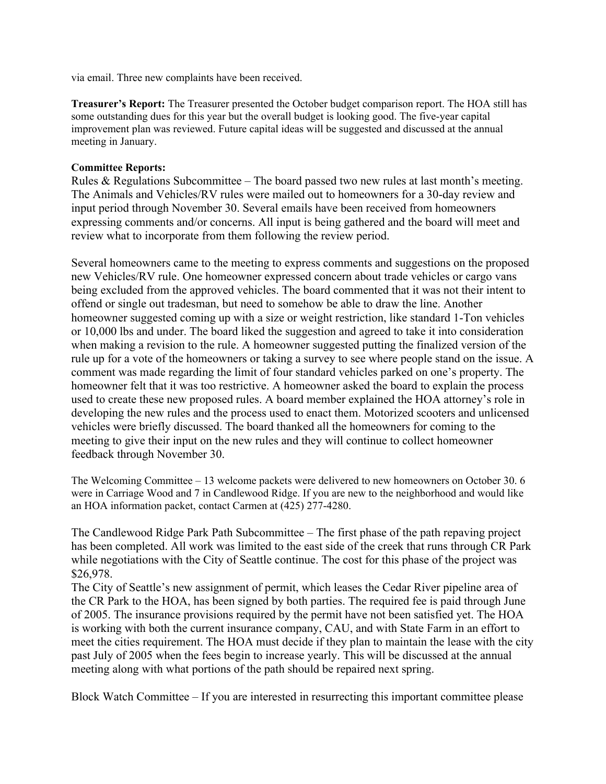via email. Three new complaints have been received.

**Treasurer's Report:** The Treasurer presented the October budget comparison report. The HOA still has some outstanding dues for this year but the overall budget is looking good. The five-year capital improvement plan was reviewed. Future capital ideas will be suggested and discussed at the annual meeting in January.

# **Committee Reports:**

Rules & Regulations Subcommittee – The board passed two new rules at last month's meeting. The Animals and Vehicles/RV rules were mailed out to homeowners for a 30-day review and input period through November 30. Several emails have been received from homeowners expressing comments and/or concerns. All input is being gathered and the board will meet and review what to incorporate from them following the review period.

Several homeowners came to the meeting to express comments and suggestions on the proposed new Vehicles/RV rule. One homeowner expressed concern about trade vehicles or cargo vans being excluded from the approved vehicles. The board commented that it was not their intent to offend or single out tradesman, but need to somehow be able to draw the line. Another homeowner suggested coming up with a size or weight restriction, like standard 1-Ton vehicles or 10,000 lbs and under. The board liked the suggestion and agreed to take it into consideration when making a revision to the rule. A homeowner suggested putting the finalized version of the rule up for a vote of the homeowners or taking a survey to see where people stand on the issue. A comment was made regarding the limit of four standard vehicles parked on one's property. The homeowner felt that it was too restrictive. A homeowner asked the board to explain the process used to create these new proposed rules. A board member explained the HOA attorney's role in developing the new rules and the process used to enact them. Motorized scooters and unlicensed vehicles were briefly discussed. The board thanked all the homeowners for coming to the meeting to give their input on the new rules and they will continue to collect homeowner feedback through November 30.

The Welcoming Committee – 13 welcome packets were delivered to new homeowners on October 30. 6 were in Carriage Wood and 7 in Candlewood Ridge. If you are new to the neighborhood and would like an HOA information packet, contact Carmen at (425) 277-4280.

The Candlewood Ridge Park Path Subcommittee – The first phase of the path repaving project has been completed. All work was limited to the east side of the creek that runs through CR Park while negotiations with the City of Seattle continue. The cost for this phase of the project was \$26,978.

The City of Seattle's new assignment of permit, which leases the Cedar River pipeline area of the CR Park to the HOA, has been signed by both parties. The required fee is paid through June of 2005. The insurance provisions required by the permit have not been satisfied yet. The HOA is working with both the current insurance company, CAU, and with State Farm in an effort to meet the cities requirement. The HOA must decide if they plan to maintain the lease with the city past July of 2005 when the fees begin to increase yearly. This will be discussed at the annual meeting along with what portions of the path should be repaired next spring.

Block Watch Committee – If you are interested in resurrecting this important committee please